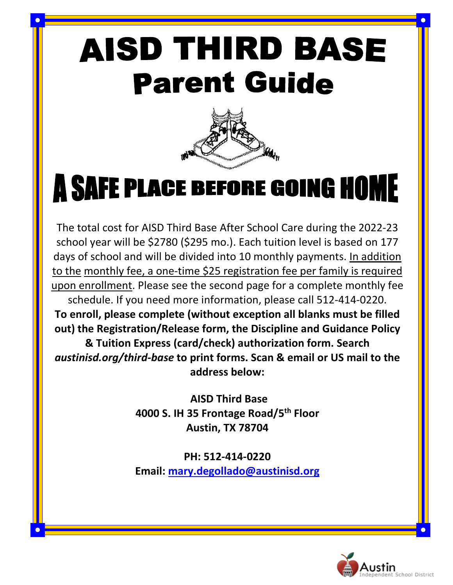# **AISD THIRD BASE Parent Guide**



# **A SAFE PLACE BEFORE GOING HOME**

The total cost for AISD Third Base After School Care during the 2022-23 school year will be \$2780 (\$295 mo.). Each tuition level is based on 177 days of school and will be divided into 10 monthly payments. In addition to the monthly fee, a one-time \$25 registration fee per family is required upon enrollment. Please see the second page for a complete monthly fee schedule. If you need more information, please call 512-414-0220.

**To enroll, please complete (without exception all blanks must be filled out) the Registration/Release form, the Discipline and Guidance Policy & Tuition Express (card/check) authorization form. Search**  *austinisd.org/third-base* **to print forms. Scan & email or US mail to the address below:**

> **AISD Third Base 4000 S. IH 35 Frontage Road/5th Floor Austin, TX 78704**

> **PH: 512-414-0220 Email: [mary.degollado@austinisd.org](mailto:mary.degollado@austinisd.org)**

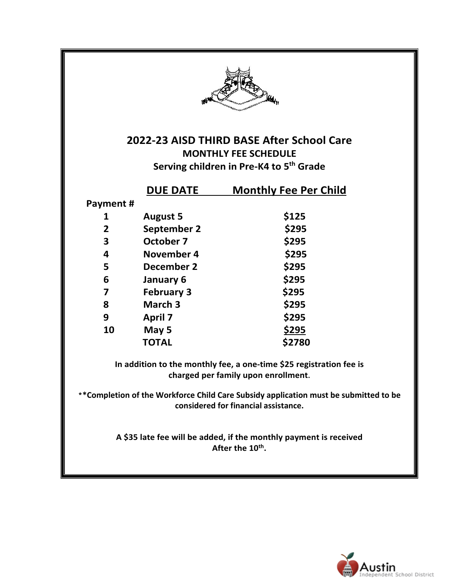

**2022-23 AISD THIRD BASE After School Care MONTHLY FEE SCHEDULE Serving children in Pre-K4 to 5th Grade**

|          | <b>DUE DATE</b>   | <b>Monthly Fee Per Child</b> |
|----------|-------------------|------------------------------|
| Payment# |                   |                              |
| 1        | <b>August 5</b>   | \$125                        |
| 2        | September 2       | \$295                        |
| 3        | October 7         | \$295                        |
| 4        | November 4        | \$295                        |
| 5        | December 2        | \$295                        |
| 6        | January 6         | \$295                        |
| 7        | <b>February 3</b> | \$295                        |
| 8        | March 3           | \$295                        |
| 9        | <b>April 7</b>    | \$295                        |
| 10       | May 5             | \$295                        |
|          | <b>TOTAL</b>      | \$2780                       |

**In addition to the monthly fee, a one-time \$25 registration fee is charged per family upon enrollment.** 

\***\*Completion of the Workforce Child Care Subsidy application must be submitted to be considered for financial assistance.**

> **A \$35 late fee will be added, if the monthly payment is received** After the 10<sup>th</sup>.

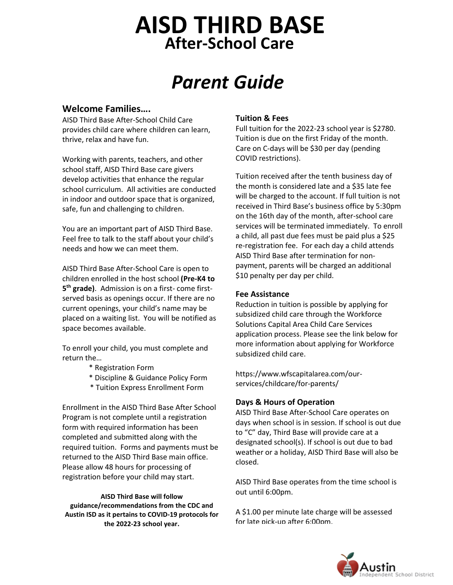## **After-School Care AISD THIRD BASE**

# *Parent Guide*

#### **Welcome Families….**

AISD Third Base After-School Child Care provides child care where children can learn, thrive, relax and have fun.

Working with parents, teachers, and other school staff, AISD Third Base care givers develop activities that enhance the regular school curriculum. All activities are conducted in indoor and outdoor space that is organized, safe, fun and challenging to children.

You are an important part of AISD Third Base. Feel free to talk to the staff about your child's needs and how we can meet them.

AISD Third Base After-School Care is open to children enrolled in the host school **(Pre-K4 to 5th grade)**. Admission is on a first- come firstserved basis as openings occur. If there are no current openings, your child's name may be placed on a waiting list. You will be notified as space becomes available.

To enroll your child, you must complete and return the…

- \* Registration Form
- \* Discipline & Guidance Policy Form
- \* Tuition Express Enrollment Form

Enrollment in the AISD Third Base After School Program is not complete until a registration form with required information has been completed and submitted along with the required tuition. Forms and payments must be returned to the AISD Third Base main office. Please allow 48 hours for processing of registration before your child may start.

**AISD Third Base will follow guidance/recommendations from the CDC and Austin ISD as it pertains to COVID-19 protocols for the 2022-23 school year.**

#### **Tuition & Fees**

Full tuition for the 2022-23 school year is \$2780. Tuition is due on the first Friday of the month. Care on C-days will be \$30 per day (pending COVID restrictions).

Tuition received after the tenth business day of the month is considered late and a \$35 late fee will be charged to the account. If full tuition is not received in Third Base's business office by 5:30pm on the 16th day of the month, after-school care services will be terminated immediately. To enroll a child, all past due fees must be paid plus a \$25 re-registration fee. For each day a child attends AISD Third Base after termination for nonpayment, parents will be charged an additional \$10 penalty per day per child.

#### **Fee Assistance**

Reduction in tuition is possible by applying for subsidized child care through the Workforce Solutions Capital Area Child Care Services application process. Please see the link below for more information about applying for Workforce subsidized child care.

https://www.wfscapitalarea.com/ourservices/childcare/for-parents/

#### **Days & Hours of Operation**

AISD Third Base After-School Care operates on days when school is in session. If school is out due to "C" day, Third Base will provide care at a designated school(s). If school is out due to bad weather or a holiday, AISD Third Base will also be closed.

AISD Third Base operates from the time school is out until 6:00pm.

A \$1.00 per minute late charge will be assessed for late pick-up after 6:00pm.

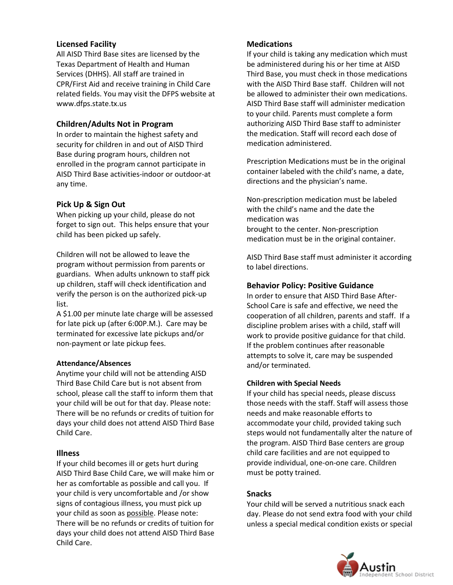#### **Licensed Facility**

 All AISD Third Base sites are licensed by the Texas Department of Health and Human Services (DHHS). All staff are trained in CPR/First Aid and receive training in Child Care related fields. You may visit the DFPS website at www.dfps.state.tx.us

#### **Children/Adults Not in Program**

In order to maintain the highest safety and security for children in and out of AISD Third Base during program hours, children not enrolled in the program cannot participate in AISD Third Base activities-indoor or outdoor-at any time.

#### **Pick Up & Sign Out**

 child has been picked up safely. When picking up your child, please do not forget to sign out. This helps ensure that your

Children will not be allowed to leave the program without permission from parents or guardians. When adults unknown to staff pick up children, staff will check identification and verify the person is on the authorized pick-up list.

A \$1.00 per minute late charge will be assessed for late pick up (after 6:00P.M.). Care may be terminated for excessive late pickups and/or non-payment or late pickup fees.

#### **Attendance/Absences**

Anytime your child will not be attending AISD Third Base Child Care but is not absent from school, please call the staff to inform them that your child will be out for that day. Please note: There will be no refunds or credits of tuition for days your child does not attend AISD Third Base Child Care.

#### **Illness**

If your child becomes ill or gets hurt during AISD Third Base Child Care, we will make him or her as comfortable as possible and call you. If your child is very uncomfortable and /or show signs of contagious illness, you must pick up your child as soon as possible. Please note: There will be no refunds or credits of tuition for days your child does not attend AISD Third Base Child Care.

#### **Medications**

If your child is taking any medication which must be administered during his or her time at AISD Third Base, you must check in those medications with the AISD Third Base staff. Children will not be allowed to administer their own medications. AISD Third Base staff will administer medication to your child. Parents must complete a form authorizing AISD Third Base staff to administer the medication. Staff will record each dose of medication administered.

Prescription Medications must be in the original container labeled with the child's name, a date, directions and the physician's name.

Non-prescription medication must be labeled with the child's name and the date the medication was brought to the center. Non-prescription medication must be in the original container.

AISD Third Base staff must administer it according to label directions.

#### **Behavior Policy: Positive Guidance**

In order to ensure that AISD Third Base After-School Care is safe and effective, we need the cooperation of all children, parents and staff. If a discipline problem arises with a child, staff will work to provide positive guidance for that child. If the problem continues after reasonable attempts to solve it, care may be suspended and/or terminated.

#### **Children with Special Needs**

If your child has special needs, please discuss those needs with the staff. Staff will assess those needs and make reasonable efforts to accommodate your child, provided taking such steps would not fundamentally alter the nature of the program. AISD Third Base centers are group child care facilities and are not equipped to provide individual, one-on-one care. Children must be potty trained.

#### **Snacks**

Your child will be served a nutritious snack each day. Please do not send extra food with your child unless a special medical condition exists or special

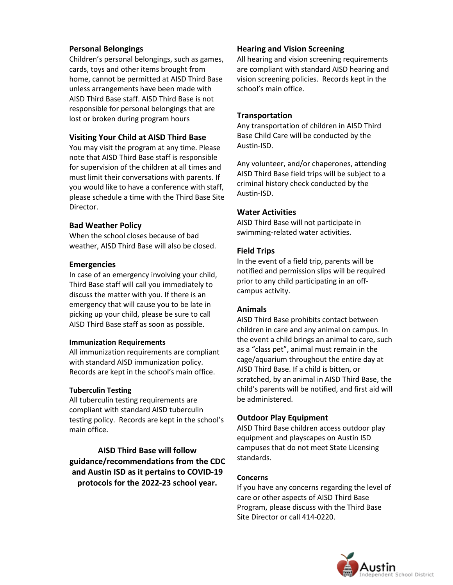#### **Personal Belongings**

Children's personal belongings, such as games, cards, toys and other items brought from home, cannot be permitted at AISD Third Base unless arrangements have been made with AISD Third Base staff. AISD Third Base is not responsible for personal belongings that are lost or broken during program hours

#### **Visiting Your Child at AISD Third Base**

You may visit the program at any time. Please note that AISD Third Base staff is responsible for supervision of the children at all times and must limit their conversations with parents. If you would like to have a conference with staff, please schedule a time with the Third Base Site Director.

#### **Bad Weather Policy**

When the school closes because of bad weather, AISD Third Base will also be closed.

#### **Emergencies**

In case of an emergency involving your child, Third Base staff will call you immediately to discuss the matter with you. If there is an emergency that will cause you to be late in picking up your child, please be sure to call AISD Third Base staff as soon as possible.

#### **Immunization Requirements**

All immunization requirements are compliant with standard AISD immunization policy. Records are kept in the school's main office.

#### **Tuberculin Testing**

All tuberculin testing requirements are compliant with standard AISD tuberculin testing policy. Records are kept in the school's main office.

**AISD Third Base will follow guidance/recommendations from the CDC and Austin ISD as it pertains to COVID-19 protocols for the 2022-23 school year.**

#### **Hearing and Vision Screening**

All hearing and vision screening requirements are compliant with standard AISD hearing and vision screening policies. Records kept in the school's main office.

#### **Transportation**

Any transportation of children in AISD Third Base Child Care will be conducted by the Austin-ISD.

Any volunteer, and/or chaperones, attending AISD Third Base field trips will be subject to a criminal history check conducted by the Austin-ISD.

#### **Water Activities**

AISD Third Base will not participate in swimming-related water activities.

#### **Field Trips**

In the event of a field trip, parents will be notified and permission slips will be required prior to any child participating in an offcampus activity.

#### **Animals**

AISD Third Base prohibits contact between children in care and any animal on campus. In the event a child brings an animal to care, such as a "class pet", animal must remain in the cage/aquarium throughout the entire day at AISD Third Base. If a child is bitten, or scratched, by an animal in AISD Third Base, the child's parents will be notified, and first aid will be administered.

#### **Outdoor Play Equipment**

AISD Third Base children access outdoor play equipment and playscapes on Austin ISD campuses that do not meet State Licensing standards.

#### **Concerns**

If you have any concerns regarding the level of care or other aspects of AISD Third Base Program, please discuss with the Third Base Site Director or call 414-0220.

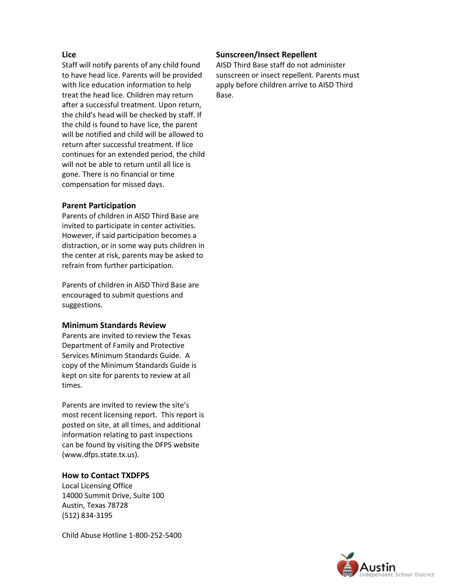#### **Lice**

Staff will notify parents of any child found to have head lice. Parents will be provided with lice education information to help treat the head lice. Children may return after a successful treatment. Upon return, the child's head will be checked by staff. If the child is found to have lice, the parent will be notified and child will be allowed to return after successful treatment. If lice continues for an extended period, the child will not be able to return until all lice is gone. There is no financial or time compensation for missed days.

#### **Parent Participation**

Parents of children in AISD Third Base are invited to participate in center activities. However, if said participation becomes a distraction, or in some way puts children in the center at risk, parents may be asked to refrain from further participation.

Parents of children in AISD Third Base are encouraged to submit questions and suggestions.

#### **Minimum Standards Review**

Parents are invited to review the Texas Department of Family and Protective Services Minimum Standards Guide. A copy of the Minimum Standards Guide is kept on site for parents to review at all times.

Parents are invited to review the site's most recent licensing report. This report is posted on site, at all times, and additional information relating to past inspections can be found by visiting the DFPS website (www.dfps.state.tx.us).

#### **How to Contact TXDFPS**

Local Licensing Office 14000 Summit Drive, Suite 100 Austin, Texas 78728 (512) 834-3195

Child Abuse Hotline 1-800-252-5400

#### **Sunscreen/Insect Repellent**

AISD Third Base staff do not administer sunscreen or insect repellent. Parents must apply before children arrive to AISD Third Base.

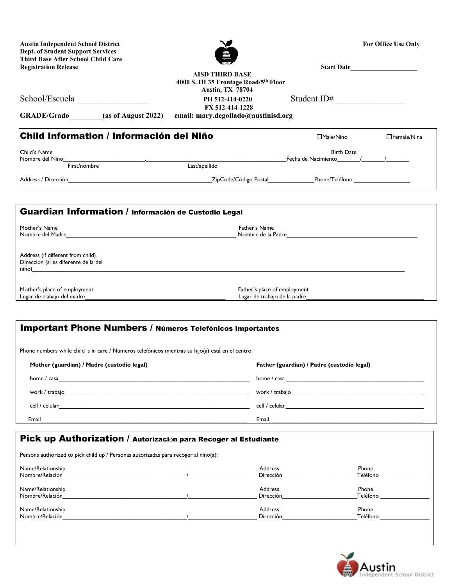| <b>Dept. of Student Support Services</b><br><b>Third Base After School Child Care</b><br><b>Registration Release</b>                                                                                                           |                                                                                            | Start Date                                                                                                     |                                                     |
|--------------------------------------------------------------------------------------------------------------------------------------------------------------------------------------------------------------------------------|--------------------------------------------------------------------------------------------|----------------------------------------------------------------------------------------------------------------|-----------------------------------------------------|
|                                                                                                                                                                                                                                | <b>AISD THIRD BASE</b><br>4000 S. IH 35 Frontage Road/5th Floor<br><b>Austin, TX 78704</b> |                                                                                                                |                                                     |
| School/Escuela                                                                                                                                                                                                                 | PH 512-414-0220                                                                            | Student ID#                                                                                                    | <u> 1980 - John Barn Barn, amerikansk politiker</u> |
| GRADE/Grado<br>(as of August 2022)                                                                                                                                                                                             | FX 512-414-1228<br>email: mary.degollado@austinisd.org                                     |                                                                                                                |                                                     |
| Child Information / Información del Niño                                                                                                                                                                                       |                                                                                            | □Male/Nino                                                                                                     | □Female/Nina                                        |
| Child's Name                                                                                                                                                                                                                   |                                                                                            | <b>Birth Date</b>                                                                                              |                                                     |
| Nombre del Niño<br>First/nombre                                                                                                                                                                                                | Last/apellido                                                                              | Fecha de Nacimiento 11                                                                                         |                                                     |
| Address / Dirección <b>Contract de la contract de la contracta de la contracta de la contracta de la contracta de l</b>                                                                                                        |                                                                                            |                                                                                                                |                                                     |
|                                                                                                                                                                                                                                |                                                                                            |                                                                                                                |                                                     |
| Guardian Information / Información de Custodio Legal                                                                                                                                                                           |                                                                                            |                                                                                                                |                                                     |
| Mother's Name                                                                                                                                                                                                                  | Father's Name                                                                              |                                                                                                                |                                                     |
| Nombre del Madre en la contrattuación de la contrattuación de la contrattuación de la contrattuación de la contrattuación de la contrattuación de la contrattuación de la contrattuación de la contrattuación de la contrattua |                                                                                            | Nombre de la Padre et la communitation de la communitation de la Padre et la communitation de la communitation |                                                     |
| Address (if different from child)<br>Dirección (si es diferente de la del<br>niño) establecer a constructiva de la constructiva de la constructiva de la constructiva de la constructiva de                                    |                                                                                            |                                                                                                                |                                                     |
| Mother's place of employment                                                                                                                                                                                                   |                                                                                            | Father's place of employment                                                                                   |                                                     |
| Lugar de trabajo del madre                                                                                                                                                                                                     |                                                                                            | Lugar de trabajo de la padre                                                                                   |                                                     |
| <b>Important Phone Numbers / Números Telefónicos Importantes</b>                                                                                                                                                               |                                                                                            |                                                                                                                |                                                     |
| Phone numbers while child is in care / Números telefónicos mientras su hijo(a) está en el centro:                                                                                                                              |                                                                                            |                                                                                                                |                                                     |
| Mother (guardian) / Madre (custodio legal)                                                                                                                                                                                     |                                                                                            | Father (guardian) / Padre (custodio legal)                                                                     |                                                     |
|                                                                                                                                                                                                                                |                                                                                            |                                                                                                                |                                                     |
| work / trabajo work and the set of the set of the set of the set of the set of the set of the set of the set of the set of the set of the set of the set of the set of the set of the set of the set of the set of the set of  |                                                                                            | work / trabajo                                                                                                 |                                                     |
| cell / celular                                                                                                                                                                                                                 |                                                                                            | cell / celular                                                                                                 |                                                     |

Austin Independent School District **For Office Use Only** For Office Use Only

Pick up Authorization / Autorización para Recoger al Estudiante

Persons authorized to pick child up / Personas autorizadas para recoger al niño(a): Name/Relationship **Address Phone** Phone **Phone** Phone **Address Phone** Phone **Phone** Phone **Phone** Phone **Phone** Phone **Phone** 

| Nombre/Relación   | <b>Dirección</b> | Teléfono |
|-------------------|------------------|----------|
| Name/Relationship | <b>Address</b>   | Phone    |
| Nombre/Relación   | Dirección        | Teléfono |
| Name/Relationship | Address          | Phone    |
| Nombre/Relación   | Dirección        | Teléfono |

Email\_\_\_\_\_\_\_\_\_\_\_\_\_\_\_\_\_\_\_\_\_\_\_\_\_\_\_\_\_\_\_\_\_\_\_\_\_\_\_\_\_\_\_\_\_\_\_\_\_\_\_\_\_\_\_\_\_\_\_\_\_\_\_ Email\_\_\_\_\_\_\_\_\_\_\_\_\_\_\_\_\_\_\_\_\_\_\_\_\_\_\_\_\_\_\_\_\_\_\_\_\_\_\_\_\_\_\_\_\_\_\_

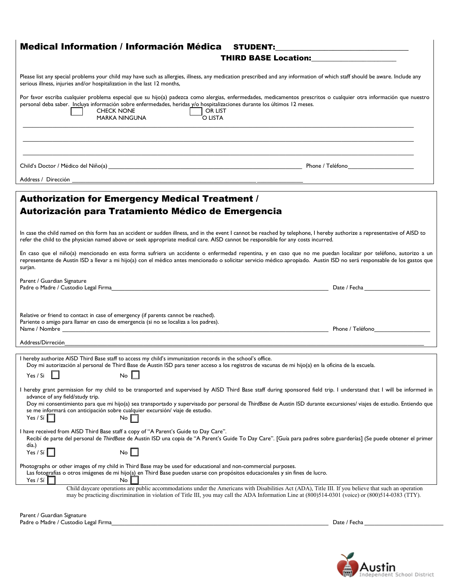| Medical Information / Información Médica STUDENT:<br><u> 1989 - Johann Stein, mars and de Brasilian (b. 1989)</u>                                                                                                                                                                                                                                                                                                                                                                       |  |
|-----------------------------------------------------------------------------------------------------------------------------------------------------------------------------------------------------------------------------------------------------------------------------------------------------------------------------------------------------------------------------------------------------------------------------------------------------------------------------------------|--|
| <b>THIRD BASE Location:</b> THIRD BASE Location:                                                                                                                                                                                                                                                                                                                                                                                                                                        |  |
| Please list any special problems your child may have such as allergies, illness, any medication prescribed and any information of which staff should be aware. Include any<br>serious illness, injuries and/or hospitalization in the last 12 months,                                                                                                                                                                                                                                   |  |
| Por favor escriba cualquier problema especial que su hijo(a) padezca como alergias, enfermedades, medicamentos prescritos o cualquier otra información que nuestro<br>personal deba saber. Incluya información sobre enfermedades, heridas y/o hospitalizaciones durante los últimos 12 meses.<br><b>CHECK NONE</b><br>OR LIST<br><b>MARKA NINGUNA</b><br>O LISTA                                                                                                                       |  |
|                                                                                                                                                                                                                                                                                                                                                                                                                                                                                         |  |
|                                                                                                                                                                                                                                                                                                                                                                                                                                                                                         |  |
| Address / Dirección<br><u> 1989 - Johann John Stone, mars and deutscher Stone (für der Stone Stone (für der Stone Stone Stone Stone Sto</u>                                                                                                                                                                                                                                                                                                                                             |  |
| <b>Authorization for Emergency Medical Treatment /</b><br>Autorización para Tratamiento Médico de Emergencia                                                                                                                                                                                                                                                                                                                                                                            |  |
| In case the child named on this form has an accident or sudden illness, and in the event I cannot be reached by telephone, I hereby authorize a representative of AISD to<br>refer the child to the physician named above or seek appropriate medical care. AISD cannot be responsible for any costs incurred.                                                                                                                                                                          |  |
| En caso que el niño(a) mencionado en esta forma sufriera un accidente o enfermedad repentina, y en caso que no me puedan localizar por teléfono, autorizo a un<br>representante de Austin ISD a llevar a mi hijo(a) con el médico antes mencionado o solicitar servicio médico apropiado. Austin ISD no será responsable de los gastos que<br>surjan.                                                                                                                                   |  |
| Parent / Guardian Signature<br>Padre o Madre / Custodio Legal Firma e construir a construir a construction de la construction de la construction de la construction de la construction de la construction de la construction de la construction de la constru<br>Date / Fecha                                                                                                                                                                                                           |  |
| Relative or friend to contact in case of emergency (if parents cannot be reached).<br>Pariente o amigo para llamar en caso de emergencia (si no se localiza a los padres).<br>Phone / Teléfono                                                                                                                                                                                                                                                                                          |  |
| Address/Dirreción                                                                                                                                                                                                                                                                                                                                                                                                                                                                       |  |
| I hereby authorize AISD Third Base staff to access my child's immunization records in the school's office.<br>Doy mi autorización al personal de Third Base de Austin ISD para tener acceso a los registros de vacunas de mi hijo(a) en la oficina de la escuela.<br>$No$ $\Box$<br>Yes / Si                                                                                                                                                                                            |  |
| I hereby grant permission for my child to be transported and supervised by AISD Third Base staff during sponsored field trip. I understand that I will be informed in<br>advance of any field/study trip.<br>Doy mi consentimiento para que mi hijo(a) sea transportado y supervisado por personal de ThirdBase de Austin ISD durante excursiones/viajes de estudio. Entiendo que<br>se me informará con anticipación sobre cualquier excursión/viaje de estudio.<br>Yes / $Si$<br>No I |  |
| I have received from AISD Third Base staff a copy of "A Parent's Guide to Day Care".<br>Recibí de parte del personal de ThirdBase de Austin ISD una copia de "A Parent's Guide To Day Care". [Guía para padres sobre guarderías] (Se puede obtener el primer<br>día.)                                                                                                                                                                                                                   |  |
| Yes / $Si$<br>$\mathsf{No} \parallel$                                                                                                                                                                                                                                                                                                                                                                                                                                                   |  |
| Photographs or other images of my child in Third Base may be used for educational and non-commercial purposes.<br>Las fotografías o otros imágenes de mi hijo(a) en Third Base pueden usarse con propósitos educacionales y sin fines de lucro.<br>Yes / Sí<br>No                                                                                                                                                                                                                       |  |
| Child daycare operations are public accommodations under the Americans with Disabilities Act (ADA), Title III. If you believe that such an operation<br>may be practicing discrimination in violation of Title III, you may call the ADA Information Line at (800)514-0301 (voice) or (800)514-0383 (TTY).                                                                                                                                                                              |  |
| Parent / Guardian Signature                                                                                                                                                                                                                                                                                                                                                                                                                                                             |  |

Padre o Madre / Custodio Legal Firma\_\_\_\_\_\_\_\_\_\_\_\_\_\_\_\_\_\_\_\_\_\_\_\_\_\_\_\_\_\_\_\_\_\_\_\_\_\_\_\_\_\_\_\_\_\_\_\_\_\_\_\_\_\_\_\_\_\_\_\_\_\_\_\_\_\_ Date / Fecha \_\_\_\_\_\_\_\_\_\_\_\_\_\_\_\_\_\_\_\_\_\_\_\_

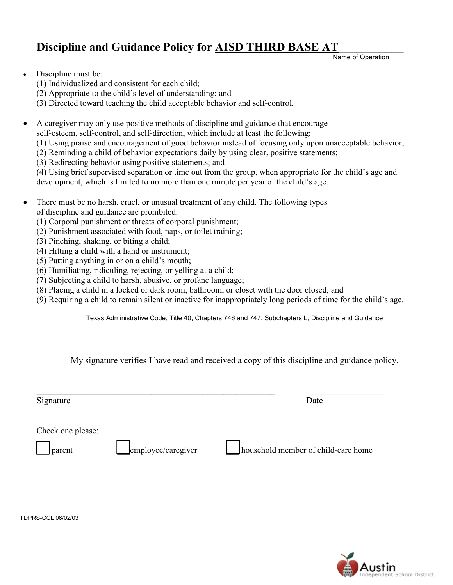### Discipline and Guidance Policy for **AISD THIRD BASE AT**

Name of Operation

- Discipline must be:
	- (1) Individualized and consistent for each child;
	- (2) Appropriate to the child's level of understanding; and
	- (3) Directed toward teaching the child acceptable behavior and self-control.
- A caregiver may only use positive methods of discipline and guidance that encourage

self-esteem, self-control, and self-direction, which include at least the following:

- (1) Using praise and encouragement of good behavior instead of focusing only upon unacceptable behavior;
- (2) Reminding a child of behavior expectations daily by using clear, positive statements;
- (3) Redirecting behavior using positive statements; and

(4) Using brief supervised separation or time out from the group, when appropriate for the child's age and development, which is limited to no more than one minute per year of the child's age.

- There must be no harsh, cruel, or unusual treatment of any child. The following types of discipline and guidance are prohibited:
	- (1) Corporal punishment or threats of corporal punishment;
	- (2) Punishment associated with food, naps, or toilet training;
	- (3) Pinching, shaking, or biting a child;
	- (4) Hitting a child with a hand or instrument;
	- (5) Putting anything in or on a child's mouth;
	- (6) Humiliating, ridiculing, rejecting, or yelling at a child;
	- (7) Subjecting a child to harsh, abusive, or profane language;
	- (8) Placing a child in a locked or dark room, bathroom, or closet with the door closed; and
	- (9) Requiring a child to remain silent or inactive for inappropriately long periods of time for the child's age.

Texas Administrative Code, Title 40, Chapters 746 and 747, Subchapters L, Discipline and Guidance

My signature verifies I have read and received a copy of this discipline and guidance policy.

Signature Date

 $\_$  ,  $\_$  ,  $\_$  ,  $\_$  ,  $\_$  ,  $\_$  ,  $\_$  ,  $\_$  ,  $\_$  ,  $\_$  ,  $\_$  ,  $\_$  ,  $\_$  ,  $\_$  ,  $\_$  ,  $\_$  ,  $\_$  ,  $\_$  ,  $\_$  ,  $\_$ 

Check one please:

parent employee/caregiver household member of child-care home



TDPRS-CCL 06/02/03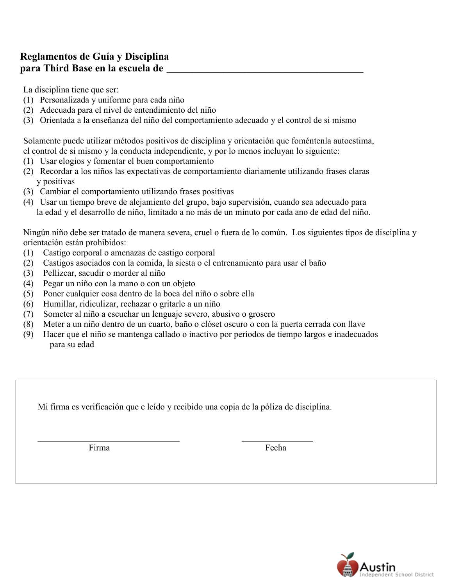### **Reglamentos de Guía y Disciplina para Third Base en la escuela de** \_\_\_\_\_\_\_\_\_\_\_\_\_\_\_\_\_\_\_\_\_\_\_\_\_\_\_\_\_\_\_\_\_\_\_\_\_\_

La disciplina tiene que ser:

- (1) Personalizada y uniforme para cada niño
- (2) Adecuada para el nivel de entendimiento del niño
- (3) Orientada a la enseñanza del niño del comportamiento adecuado y el control de si mismo

Solamente puede utilizar métodos positivos de disciplina y orientación que foméntenla autoestima, el control de si mismo y la conducta independiente, y por lo menos incluyan lo siguiente:

- (1) Usar elogios y fomentar el buen comportamiento
- (2) Recordar a los niños las expectativas de comportamiento diariamente utilizando frases claras y positivas
- (3) Cambiar el comportamiento utilizando frases positivas
- (4) Usar un tiempo breve de alejamiento del grupo, bajo supervisión, cuando sea adecuado para la edad y el desarrollo de niño, limitado a no más de un minuto por cada ano de edad del niño.

Ningún niño debe ser tratado de manera severa, cruel o fuera de lo común. Los siguientes tipos de disciplina y orientación están prohibidos:

- (1) Castigo corporal o amenazas de castigo corporal
- (2) Castigos asociados con la comida, la siesta o el entrenamiento para usar el baño
- (3) Pellizcar, sacudir o morder al niño
- (4) Pegar un niño con la mano o con un objeto
- (5) Poner cualquier cosa dentro de la boca del niño o sobre ella
- (6) Humillar, ridiculizar, rechazar o gritarle a un niño
- (7) Someter al niño a escuchar un lenguaje severo, abusivo o grosero
- (8) Meter a un niño dentro de un cuarto, baño o clóset oscuro o con la puerta cerrada con llave
- (9) Hacer que el niño se mantenga callado o inactivo por periodos de tiempo largos e inadecuados para su edad

Mi firma es verificación que e leído y recibido una copia de la póliza de disciplina.

Firma Fecha